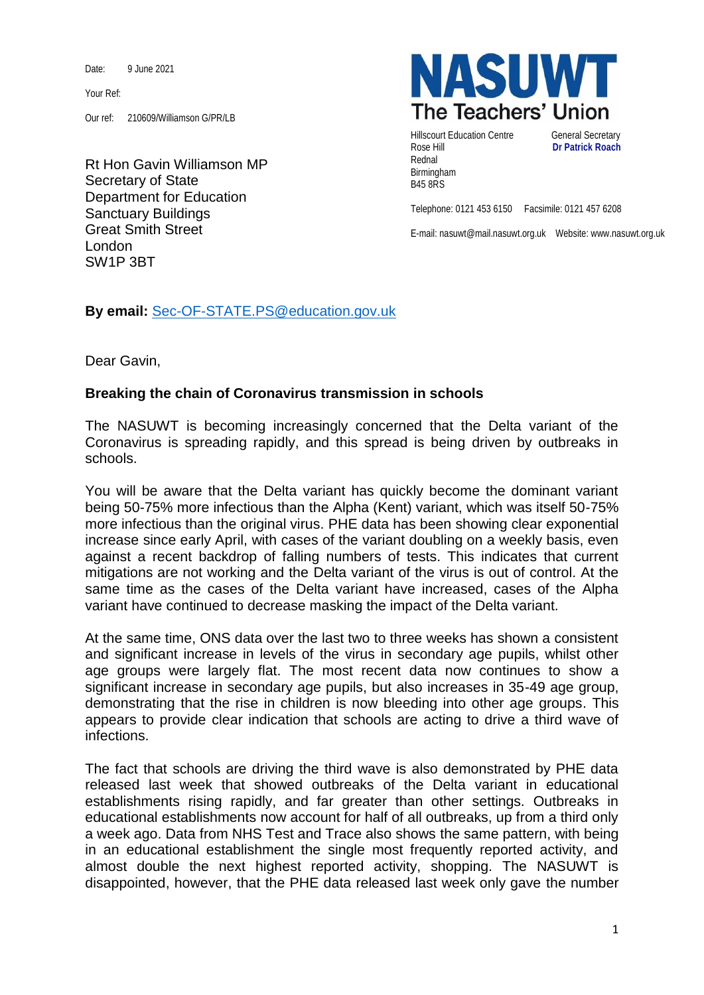Date: 9 June 2021

Your Ref:

Our ref: 210609/Williamson G/PR/LB

Rt Hon Gavin Williamson MP Secretary of State Department for Education Sanctuary Buildings Great Smith Street London SW1P 3BT



Hillscourt Education Centre **General Secretary** Rose Hill **Dr Patrick Roach** Rednal Birmingham B45 8RS

Telephone: 0121 453 6150 Facsimile: 0121 457 6208

E-mail: nasuwt@mail.nasuwt.org.uk Website: www.nasuwt.org.uk

**By email:** [Sec-OF-STATE.PS@education.gov.uk](mailto:Sec-OF-STATE.PS@education.gov.uk)

Dear Gavin,

## **Breaking the chain of Coronavirus transmission in schools**

The NASUWT is becoming increasingly concerned that the Delta variant of the Coronavirus is spreading rapidly, and this spread is being driven by outbreaks in schools.

You will be aware that the Delta variant has quickly become the dominant variant being 50-75% more infectious than the Alpha (Kent) variant, which was itself 50-75% more infectious than the original virus. PHE data has been showing clear exponential increase since early April, with cases of the variant doubling on a weekly basis, even against a recent backdrop of falling numbers of tests. This indicates that current mitigations are not working and the Delta variant of the virus is out of control. At the same time as the cases of the Delta variant have increased, cases of the Alpha variant have continued to decrease masking the impact of the Delta variant.

At the same time, ONS data over the last two to three weeks has shown a consistent and significant increase in levels of the virus in secondary age pupils, whilst other age groups were largely flat. The most recent data now continues to show a significant increase in secondary age pupils, but also increases in 35-49 age group, demonstrating that the rise in children is now bleeding into other age groups. This appears to provide clear indication that schools are acting to drive a third wave of infections.

The fact that schools are driving the third wave is also demonstrated by PHE data released last week that showed outbreaks of the Delta variant in educational establishments rising rapidly, and far greater than other settings. Outbreaks in educational establishments now account for half of all outbreaks, up from a third only a week ago. Data from NHS Test and Trace also shows the same pattern, with being in an educational establishment the single most frequently reported activity, and almost double the next highest reported activity, shopping. The NASUWT is disappointed, however, that the PHE data released last week only gave the number